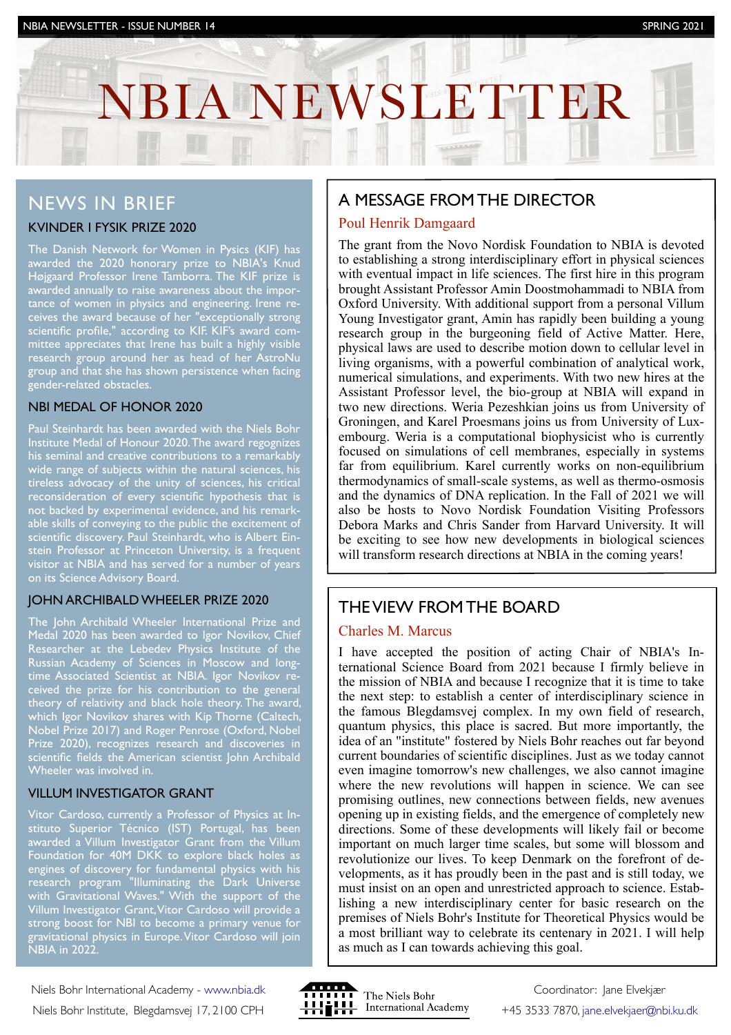# NBIA NEWSLETTER

INVESTOR NEWSLETTER IS NEWSLET AND A NEWSLETTER IN THE UPPER STATES OF THE UPPER STATES OF THE UPPER STATES OF

# NEWS IN BRIEF

## KVINDER I FYSIK PRIZE 2020

The Danish Network for Women in Pysics (KIF) has awarded the 2020 honorary prize to NBIA's Knud Højgaard Professor Irene Tamborra. The KIF prize is awarded annually to raise awareness about the importance of women in physics and engineering. Irene receives the award because of her "exceptionally strong scientific profile," according to KIF. KIF's award committee appreciates that Irene has built a highly visible research group around her as head of her AstroNu group and that she has shown persistence when facing gender-related obstacles.

## NBI MEDAL OF HONOR 2020

Paul Steinhardt has been awarded with the Niels Bohr Institute Medal of Honour 2020. The award regognizes his seminal and creative contributions to a remarkably wide range of subjects within the natural sciences, his tireless advocacy of the unity of sciences, his critical reconsideration of every scientific hypothesis that is not backed by experimental evidence, and his remarkable skills of conveying to the public the excitement of scientific discovery. Paul Steinhardt, who is Albert Einstein Professor at Princeton University, is a frequent visitor at NBIA and has served for a number of years on its Science Advisory Board.

### JOHN ARCHIBALD WHEELER PRIZE 2020

The John Archibald Wheeler International Prize and Medal 2020 has been awarded to Igor Novikov, Chief Researcher at the Lebedev Physics Institute of the Russian Academy of Sciences in Moscow and longtime Associated Scientist at NBIA. Igor Novikov received the prize for his contribution to the general theory of relativity and black hole theory. The award, which Igor Novikov shares with Kip Thorne (Caltech, Nobel Prize 2017) and Roger Penrose (Oxford, Nobel Prize 2020), recognizes research and discoveries in scientific fields the American scientist John Archibald Wheeler was involved in.

## VILLUM INVESTIGATOR GRANT

Vitor Cardoso, currently a Professor of Physics at Instituto Superior Técnico (IST) Portugal, has been awarded a Villum Investigator Grant from the Villum Foundation for 40M DKK to explore black holes as engines of discovery for fundamental physics with his research program "Illuminating the Dark Universe with Gravitational Waves." With the support of the Villum Investigator Grant, Vitor Cardoso will provide a strong boost for NBI to become a primary venue for gravitational physics in Europe. Vitor Cardoso will join NBIA in 2022.

Niels Bohr International Academy - [www.nbia.dk](http://www.nbia.dk) Niels Bohr Institute, Blegdamsvej 17, 2100 CPH



# A MESSAGE FROM THE DIRECTOR

## Poul Henrik Damgaard

The grant from the Novo Nordisk Foundation to NBIA is devoted to establishing a strong interdisciplinary effort in physical sciences with eventual impact in life sciences. The first hire in this program brought Assistant Professor Amin Doostmohammadi to NBIA from Oxford University. With additional support from a personal Villum Young Investigator grant, Amin has rapidly been building a young research group in the burgeoning field of Active Matter. Here, physical laws are used to describe motion down to cellular level in living organisms, with a powerful combination of analytical work, numerical simulations, and experiments. With two new hires at the Assistant Professor level, the bio-group at NBIA will expand in two new directions. Weria Pezeshkian joins us from University of Groningen, and Karel Proesmans joins us from University of Luxembourg. Weria is a computational biophysicist who is currently focused on simulations of cell membranes, especially in systems far from equilibrium. Karel currently works on non-equilibrium thermodynamics of small-scale systems, as well as thermo-osmosis and the dynamics of DNA replication. In the Fall of 2021 we will also be hosts to Novo Nordisk Foundation Visiting Professors Debora Marks and Chris Sander from Harvard University. It will be exciting to see how new developments in biological sciences will transform research directions at NBIA in the coming years!

## THE VIEW FROM THE BOARD

### Charles M. Marcus

I have accepted the position of acting Chair of NBIA's International Science Board from 2021 because I firmly believe in the mission of NBIA and because I recognize that it is time to take the next step: to establish a center of interdisciplinary science in the famous Blegdamsvej complex. In my own field of research, quantum physics, this place is sacred. But more importantly, the idea of an "institute" fostered by Niels Bohr reaches out far beyond current boundaries of scientific disciplines. Just as we today cannot even imagine tomorrow's new challenges, we also cannot imagine where the new revolutions will happen in science. We can see promising outlines, new connections between fields, new avenues opening up in existing fields, and the emergence of completely new directions. Some of these developments will likely fail or become important on much larger time scales, but some will blossom and revolutionize our lives. To keep Denmark on the forefront of developments, as it has proudly been in the past and is still today, we must insist on an open and unrestricted approach to science. Establishing a new interdisciplinary center for basic research on the premises of Niels Bohr's Institute for Theoretical Physics would be a most brilliant way to celebrate its centenary in 2021. I will help as much as I can towards achieving this goal.